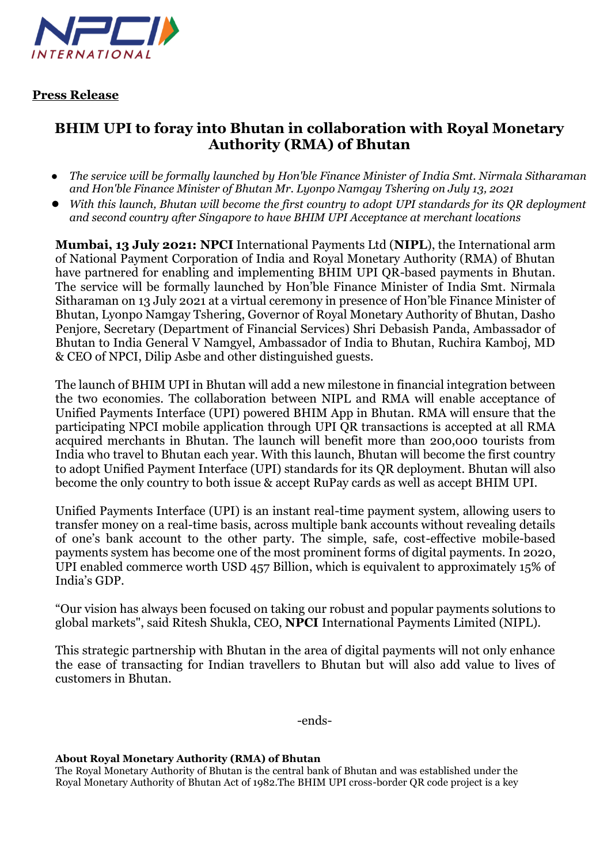

**Press Release**

## **BHIM UPI to foray into Bhutan in collaboration with Royal Monetary Authority (RMA) of Bhutan**

- *The service will be formally launched by Hon'ble Finance Minister of India Smt. Nirmala Sitharaman and Hon'ble Finance Minister of Bhutan Mr. Lyonpo Namgay Tshering on July 13, 2021*
- *With this launch, Bhutan will become the first country to adopt UPI standards for its QR deployment and second country after Singapore to have BHIM UPI Acceptance at merchant locations*

**Mumbai, 13 July 2021: NPCI** International Payments Ltd (**NIPL**), the International arm of National Payment Corporation of India and Royal Monetary Authority (RMA) of Bhutan have partnered for enabling and implementing BHIM UPI QR-based payments in Bhutan. The service will be formally launched by Hon'ble Finance Minister of India Smt. Nirmala Sitharaman on 13 July 2021 at a virtual ceremony in presence of Hon'ble Finance Minister of Bhutan, Lyonpo Namgay Tshering, Governor of Royal Monetary Authority of Bhutan, Dasho Penjore, Secretary (Department of Financial Services) Shri Debasish Panda, Ambassador of Bhutan to India General V Namgyel, Ambassador of India to Bhutan, Ruchira Kamboj, MD & CEO of NPCI, Dilip Asbe and other distinguished guests.

The launch of BHIM UPI in Bhutan will add a new milestone in financial integration between the two economies. The collaboration between NIPL and RMA will enable acceptance of Unified Payments Interface (UPI) powered BHIM App in Bhutan. RMA will ensure that the participating NPCI mobile application through UPI QR transactions is accepted at all RMA acquired merchants in Bhutan. The launch will benefit more than 200,000 tourists from India who travel to Bhutan each year. With this launch, Bhutan will become the first country to adopt Unified Payment Interface (UPI) standards for its QR deployment. Bhutan will also become the only country to both issue & accept RuPay cards as well as accept BHIM UPI.

Unified Payments Interface (UPI) is an instant real-time payment system, allowing users to transfer money on a real-time basis, across multiple bank accounts without revealing details of one's bank account to the other party. The simple, safe, cost-effective mobile-based payments system has become one of the most prominent forms of digital payments. In 2020, UPI enabled commerce worth USD 457 Billion, which is equivalent to approximately 15% of India's GDP.

"Our vision has always been focused on taking our robust and popular payments solutions to global markets", said Ritesh Shukla, CEO, **NPCI** International Payments Limited (NIPL).

This strategic partnership with Bhutan in the area of digital payments will not only enhance the ease of transacting for Indian travellers to Bhutan but will also add value to lives of customers in Bhutan.

-ends-

## **About Royal Monetary Authority (RMA) of Bhutan**

The Royal Monetary Authority of Bhutan is the central bank of Bhutan and was established under the Royal Monetary Authority of Bhutan Act of 1982.The BHIM UPI cross-border QR code project is a key